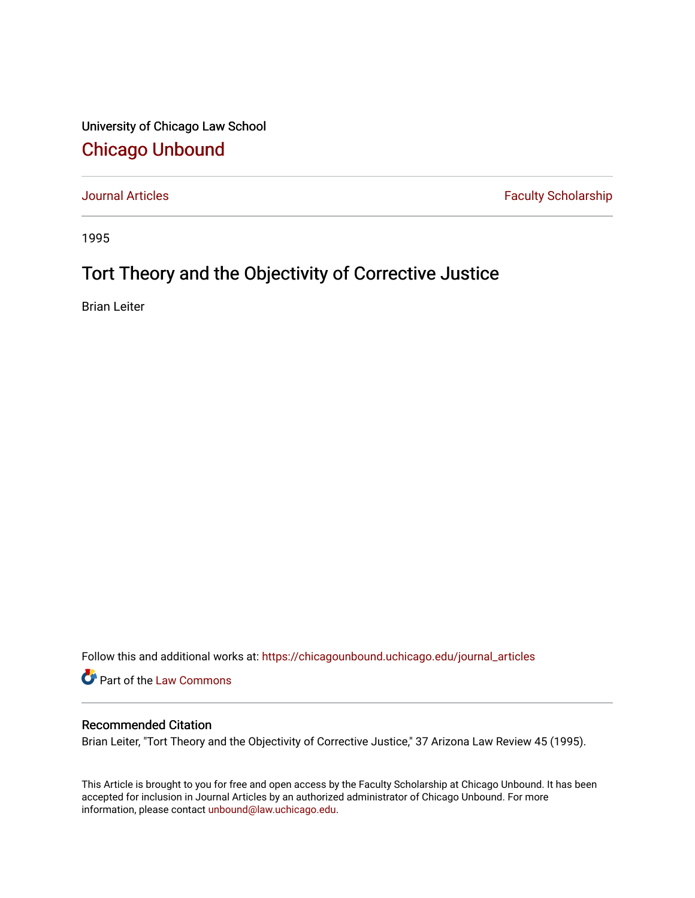University of Chicago Law School [Chicago Unbound](https://chicagounbound.uchicago.edu/)

[Journal Articles](https://chicagounbound.uchicago.edu/journal_articles) **Faculty Scholarship Faculty Scholarship** 

1995

# Tort Theory and the Objectivity of Corrective Justice

Brian Leiter

Follow this and additional works at: [https://chicagounbound.uchicago.edu/journal\\_articles](https://chicagounbound.uchicago.edu/journal_articles?utm_source=chicagounbound.uchicago.edu%2Fjournal_articles%2F1566&utm_medium=PDF&utm_campaign=PDFCoverPages) 

Part of the [Law Commons](http://network.bepress.com/hgg/discipline/578?utm_source=chicagounbound.uchicago.edu%2Fjournal_articles%2F1566&utm_medium=PDF&utm_campaign=PDFCoverPages)

## Recommended Citation

Brian Leiter, "Tort Theory and the Objectivity of Corrective Justice," 37 Arizona Law Review 45 (1995).

This Article is brought to you for free and open access by the Faculty Scholarship at Chicago Unbound. It has been accepted for inclusion in Journal Articles by an authorized administrator of Chicago Unbound. For more information, please contact [unbound@law.uchicago.edu](mailto:unbound@law.uchicago.edu).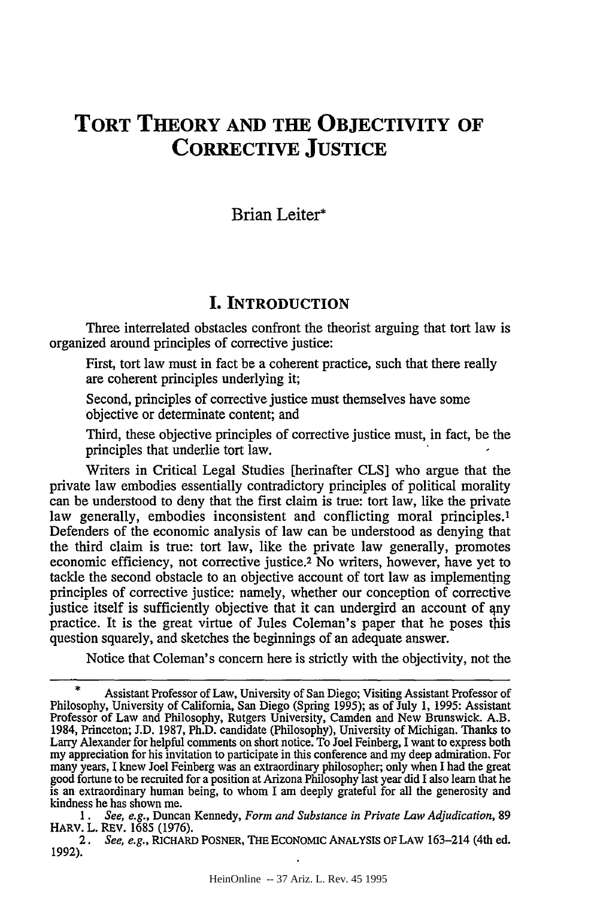## **TORT THEORY AND THE OBJECTIVITY OF CORRECTIVE JUSTICE**

#### Brian Leiter\*

#### I. **INTRODUCTION**

Three interrelated obstacles confront the theorist arguing that tort law is organized around principles of corrective justice:

First, tort law must in fact be a coherent practice, such that there really are coherent principles underlying it;

Second, principles of corrective justice must themselves have some objective or determinate content; and

Third, these objective principles of corrective justice must, in fact, be the principles that underlie tort law.

Writers in Critical Legal Studies [herinafter CLS] who argue that the private law embodies essentially contradictory principles of political morality can be understood to deny that the first claim is true: tort law, like the private law generally, embodies inconsistent and conflicting moral principles.<sup>1</sup> Defenders of the economic analysis of law can be understood as denying that the third claim is true: tort law, like the private law generally, promotes economic efficiency, not corrective justice.2 No writers, however, have yet to tackle the second obstacle to an objective account of tort law as implementing principles of corrective justice: namely, whether our conception of corrective justice itself is sufficiently objective that it can undergird an account of any practice. It is the great virtue of Jules Coleman's paper that he poses this question squarely, and sketches the beginnings of an adequate answer.

Notice that Coleman's concern here is strictly with the objectivity, not the

<sup>\*</sup> Assistant Professor of Law, University of San Diego; Visiting Assistant Professor of Philosophy, University of California, San Diego (Spring 1995); as of July 1, 1995: Assistant Professor of Law and Philosophy, Rutgers University, Camden and New Brunswick. A.B. 1984, Princeton; J.D. 1987, Ph.D. candidate (Philosophy), University of Michigan. Thanks to Larry Alexander for helpful comments on short notice. To Joel Feinberg, I want to express both my appreciation for his invitation to participate in this conference and my deep admiration. For many years, I knew Joel Feinberg was an extraordinary philosopher; only when I had the great good fortune to be recruited for a position at Arizona Philosophy last year did I also learn that he is an extraordinary human being, to whom I am deeply grateful for all the generosity and kindness he has shown me. *1. See, e.g.,* Duncan Kennedy, *Form and Substance in Private Law Adjudication,* <sup>89</sup>

HARV. L. REV. 1685 (1976).

*<sup>2.</sup> See, e.g.,* RICHARD POSNER, THE ECONOMIC ANALYsIs OF LAw 163-214 (4th ed. 1992).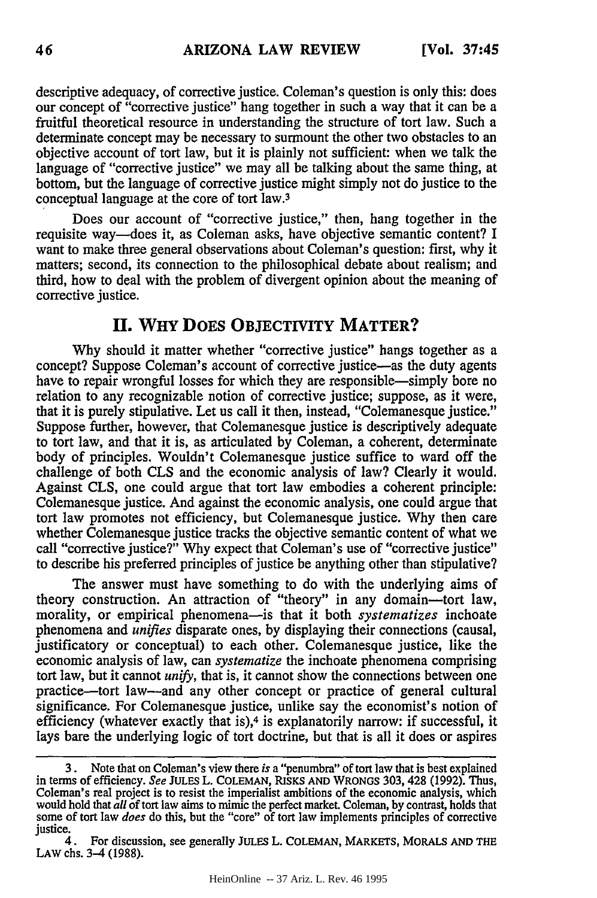descriptive adequacy, of corrective justice. Coleman's question is only this: does our concept of "corrective justice" hang together in such a way that it can be a fruitful theoretical resource in understanding the structure of tort law. Such a determinate concept may be necessary to surmount the other two obstacles to an objective account of tort law, but it is plainly not sufficient: when we talk the language of "corrective justice" we may all be talking about the same thing, at bottom, but the language of corrective justice might simply not do justice to the conceptual language at the core of tort law.<sup>3</sup>

Does our account of "corrective justice," then, hang together in the requisite way-does it, as Coleman asks, have objective semantic content? I want to make three general observations about Coleman's question: first, why it matters; second, its connection to the philosophical debate about realism; and third, how to deal with the problem of divergent opinion about the meaning of corrective justice.

#### **II. WHY DOES OBJECTIVITY MATTER?**

**Why** should it matter whether "corrective justice" hangs together as a concept? Suppose Coleman's account of corrective justice-as the duty agents have to repair wrongful losses for which they are responsible—simply bore no relation to any recognizable notion of corrective justice; suppose, as it were, that it is purely stipulative. Let us call it then, instead, "Colemanesque justice." Suppose further, however, that Colemanesque justice is descriptively adequate to tort law, and that it is, as articulated by Coleman, a coherent, determinate body of principles. Wouldn't Colemanesque justice suffice to ward off the challenge of both CLS and the economic analysis of law? Clearly it would. Against CLS, one could argue that tort law embodies a coherent principle: Colemanesque justice. And against the economic analysis, one could argue that tort law promotes not efficiency, but Colemanesque justice. Why then care whether Colemanesque justice tracks the objective semantic content of what we call "corrective justice?" Why expect that Coleman's use of "corrective justice" to describe his preferred principles of justice be anything other than stipulative?

The answer must have something to do with the underlying aims of theory construction. An attraction of "theory" in any domain-tort law, morality, or empirical phenomena-is that it both *systematizes* inchoate phenomena and *unifies* disparate ones, by displaying their connections (causal, justificatory or conceptual) to each other. Colemanesque justice, like the economic analysis of law, can *systematize* the inchoate phenomena comprising tort law, but it cannot *unify,* that is, it cannot show the connections between one practice-tort law-and any other concept or practice of general cultural significance. For Colemanesque justice, unlike say the economist's notion of efficiency (whatever exactly that is),4 is explanatorily narrow: if successful, it lays bare the underlying logic of tort doctrine, but that is all it does or aspires

**<sup>3.</sup>** Note that on Coleman's view there *is* a "penumbra" of tort law that is best explained in terms of efficiency. *See* **JULES** L. **COLEMAN,** RISKS **AND** WRONGS 303, 428 (1992). Thus, Coleman's real project is to resist the imperialist ambitions of the economic analysis, which would hold that *all* of tort law aims to mimic the perfect market. Coleman, by contrast, holds that some of tort law *does* do this, but the "core" of tort law implements principles of corrective justice.

<sup>4.</sup> For discussion, see generally JuLES L. COLEMAN, MARKETS, MORALS **AND** THE **LAW** chs. 3-4 (1988).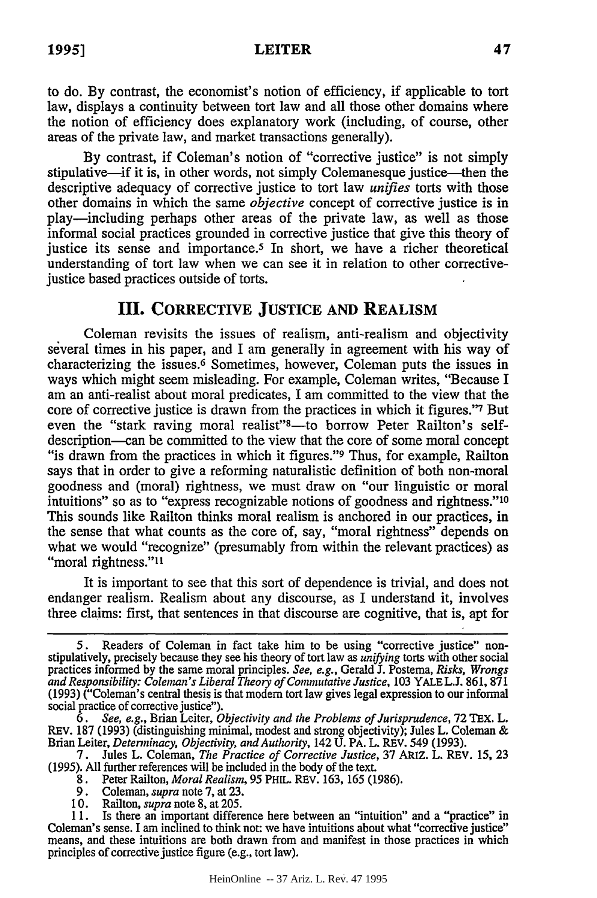**LEITER**

to do. **By** contrast, the economist's notion of efficiency, if applicable to tort law, displays a continuity between tort law and all those other domains where the notion of efficiency does explanatory work (including, of course, other areas of the private law, and market transactions generally).

By contrast, if Coleman's notion of "corrective justice" is not simply stipulative—if it is, in other words, not simply Colemanesque justice—then the descriptive adequacy of corrective justice to tort law *unifies* torts with those other domains in which the same *objective* concept of corrective justice is in play-including perhaps other areas of the private law, as well as those informal social practices grounded in corrective justice that give this theory of justice its sense and importance.5 In short, we have a richer theoretical understanding of tort law when we can see it in relation to other correctivejustice based practices outside of torts.

#### **III. CORRECTIVE JUSTICE AND REALISM**

Coleman revisits the issues of realism, anti-realism and objectivity several times in his paper, and I am generally in agreement with his way of characterizing the issues.6 Sometimes, however, Coleman puts the issues in ways which might seem misleading. For example, Coleman writes, "Because I am an anti-realist about moral predicates, I am committed to the view that the core of corrective justice is drawn from the practices in which it figures."<sup>7</sup> But even the "stark raving moral realist"<sup>3</sup>—to borrow Peter Railton's selfdescription-can be committed to the view that the core of some moral concept "is drawn from the practices in which it figures." Thus, for example, Railton says that in order to give a reforming naturalistic definition of both non-moral goodness and (moral) rightness, we must draw on "our linguistic or moral intuitions" so as to "express recognizable notions of goodness and rightness."<sup>10</sup> This sounds like Railton thinks moral realism is anchored in our practices, in the sense that what counts as the core of, say, "moral rightness" depends on what we would "recognize" (presumably from within the relevant practices) as "moral rightness."<sup>11</sup>

It is important to see that this sort of dependence is trivial, and does not endanger realism. Realism about any discourse, as I understand it, involves three claims: first, that sentences in that discourse are cognitive, that is, apt for

<sup>5.</sup> Readers of Coleman in fact take him to be using "corrective justice" non- stipulatively, precisely because they see his theory of tort law as *unifying* torts with other social practices informed by the same moral principles. *See, e.g.,* Gerald J. Postema, *Risks, Wrongs and Responsibility: Coleman's Liberal Theory of Commutative Justice,* 103 YALE L.J. 861, 871 (1993) ("Coleman's central thesis is that modem tort law gives legal expression to our informal social practice of corrective justice").

*<sup>6.</sup> See, e.g.,* Brian Leiter, *Objectivity and the Problems of Jurisprudence,* 72 TEX. L. REV. 187 (1993) (distinguishing minimal, modest and strong objectivity); Jules L. Coleman & Brian Leiter, *Determinacy, Objectivity, and Authority,* 142 U. PA. L. REV. 549 (1993).

<sup>7.</sup> Jules L. Coleman, *The Practice of Corrective Justice,* 37 ARIZ. L. REV. 15, 23 (1995). All further references will be included in the body of the text.

<sup>8.</sup> Peter Railton, *Moral Realism,* 95 PHIL. REV. 163, 165 (1986).

<sup>9.</sup> Coleman, *supra* note 7, at 23.

<sup>10.</sup> Railton, *supra* note 8, at 205.

<sup>11.</sup> Is there an important difference here between an "intuition" and a "practice" in Coleman's sense. I am inclined to think not: we have intuitions about what "corrective justice" means, and these intuitions are both drawn from and manifest in those practices in which principles of corrective justice figure (e.g., tort law).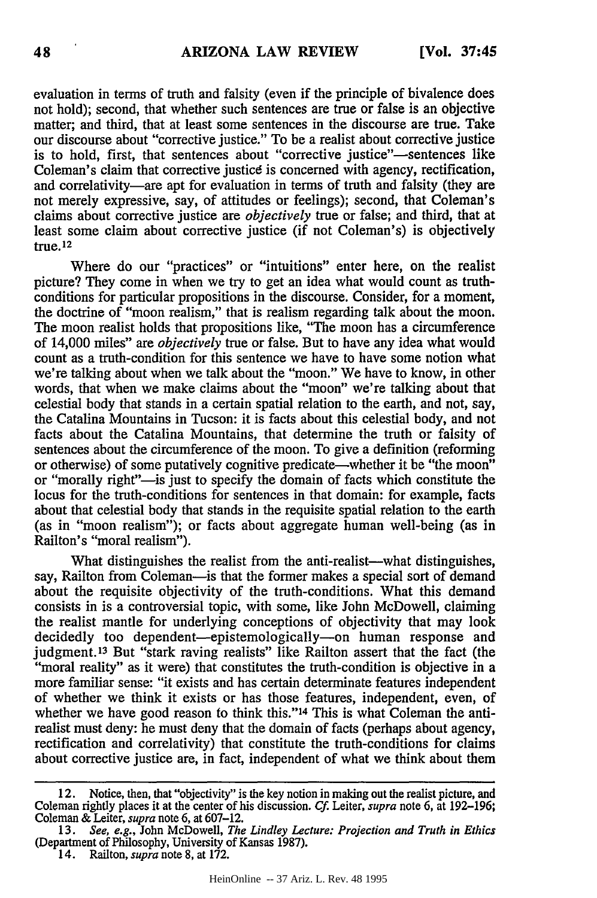evaluation in terms of truth and falsity (even if the principle of bivalence does not hold); second, that whether such sentences are true or false is an objective matter; and third, that at least some sentences in the discourse are true. Take our discourse about "corrective justice." To be a realist about corrective justice is to hold, first, that sentences about "corrective justice"-sentences like Coleman's claim that corrective justicd is concerned with agency, rectification, and correlativity-are apt for evaluation in terms of truth and falsity (they are not merely expressive, say, of attitudes or feelings); second, that Coleman's claims about corrective justice are *objectively* true or false; and third, that at least some claim about corrective justice (if not Coleman's) is objectively true.12

Where do our "practices" or "intuitions" enter here, on the realist picture? They come in when we try to get an idea what would count as truthconditions for particular propositions in the discourse. Consider, for a moment, the doctrine of "moon realism," that is realism regarding talk about the moon. The moon realist holds that propositions like, "The moon has a circumference of 14,000 miles" are *objectively* true or false. But to have any idea what would count as a truth-condition for this sentence we have to have some notion what we're talking about when we talk about the "moon." We have to know, in other words, that when we make claims about the "moon" we're talking about that celestial body that stands in a certain spatial relation to the earth, and not, say, the Catalina Mountains in Tucson: it is facts about this celestial body, and not facts about the Catalina Mountains, that determine the truth or falsity of sentences about the circumference of the moon. To give a definition (reforming or otherwise) of some putatively cognitive predicate—whether it be "the moon" or "morally right"—is just to specify the domain of facts which constitute the locus for the truth-conditions for sentences in that domain: for example, facts about that celestial body that stands in the requisite spatial relation to the earth (as in "moon realism"); or facts about aggregate human well-being (as in Railton's "moral realism").

What distinguishes the realist from the anti-realist—what distinguishes, say, Railton from Coleman—is that the former makes a special sort of demand about the requisite objectivity of the truth-conditions. What this demand consists in is a controversial topic, with some, like John McDowell, claiming the realist mantle for underlying conceptions of objectivity that may look decidedly too dependent—epistemologically—on human response and judgment.<sup>13</sup> But "stark raving realists" like Railton assert that the fact (the "moral reality" as it were) that constitutes the truth-condition is objective in a more familiar sense: "it exists and has certain determinate features independent of whether we think it exists or has those features, independent, even, of whether we have good reason to think this."<sup>14</sup> This is what Coleman the antirealist must deny: he must deny that the domain of facts (perhaps about agency, rectification and correlativity) that constitute the truth-conditions for claims about corrective justice are, in fact, independent of what we think about them

<sup>12.</sup> Notice, then, that "objectivity" is the key notion in making out the realist picture, and Coleman rightly places it at the center of his discussion. *Cf.* Leiter, *supra* note 6, at 192-196; Coleman & Leiter, *supra* note 6, at 607-12.

<sup>13.</sup> *See, e.g.,* John McDowell, *The Lindley Lecture: Projection and Truth in Ethics* (Department of Philosophy, University of Kansas 1987).

<sup>14.</sup> Railton, *supra* note 8, at 172.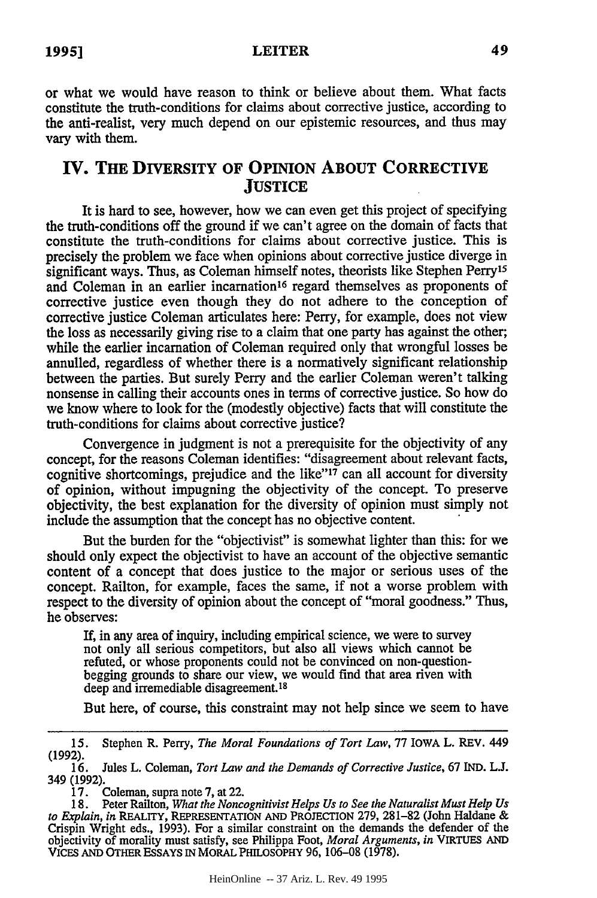#### LEITER

or what we would have reason to think or believe about them. What facts constitute the truth-conditions for claims about corrective justice, according to the anti-realist, very much depend on our epistemic resources, and thus may vary with them.

### **IV. THE DIVERSITY OF OPINION ABOUT CORRECTIVE JUSTICE**

It is hard to see, however, how we can even get this project of specifying the truth-conditions off the ground if we can't agree on the domain of facts that constitute the truth-conditions for claims about corrective justice. This is precisely the problem we face when opinions about corrective justice diverge in significant ways. Thus, as Coleman himself notes, theorists like Stephen Perry<sup>15</sup> and Coleman in an earlier incarnation<sup>16</sup> regard themselves as proponents of corrective justice even though they do not adhere to the conception of corrective justice Coleman articulates here: Perry, for example, does not view the loss as necessarily giving rise to a claim that one party has against the other; while the earlier incarnation of Coleman required only that wrongful losses be annulled, regardless of whether there is a normatively significant relationship between the parties. But surely Perry and the earlier Coleman weren't talking nonsense in calling their accounts ones in terms of corrective justice. So how do we know where to look for the (modestly objective) facts that will constitute the truth-conditions for claims about corrective justice?

Convergence in judgment is not a prerequisite for the objectivity of any concept, for the reasons Coleman identifies: "disagreement about relevant facts, cognitive shortcomings, prejudice and the like"'17 can all account for diversity of opinion, without impugning the objectivity of the concept. To preserve objectivity, the best explanation for the diversity of opinion must simply not include the assumption that the concept has no objective content.

But the burden for the "objectivist" is somewhat lighter than this: for we should only expect the objectivist to have an account of the objective semantic content of a concept that does justice to the major or serious uses of the concept. Railton, for example, faces the same, if not a worse problem with respect to the diversity of opinion about the concept of "moral goodness." Thus, he observes:

If, in any area of inquiry, including empirical science, we were to survey not only all serious competitors, but also all views which cannot be refuted, or whose proponents could not be convinced on non-questionbegging grounds to share our view, we would find that area riven with deep and irremediable disagreement.<sup>18</sup>

But here, of course, this constraint may not help since we seem to have

<sup>15.</sup> Stephen R. Perry, *The Moral Foundations of Tort Law,* 77 IOWA L. REV. 449 (1992).

<sup>16.</sup> Jules L. Coleman, *Tort Law and the Demands of Corrective Justice,* 67 IND. **L.J.** 349 (1992).

<sup>17.</sup> Coleman, supra note 7, at 22.

<sup>18.</sup> Peter Railton, *What the Noncognitivist Helps Us to See the Naturalist Must Help Us to Explain, in* REALITY, REPRESENTATION **AND** PROJECTION 279, 281-82 (John Haldane & Crispin Wright eds., 1993). For a similar constraint on the demands the defender of the objectivity of morality must satisfy, see Philippa Foot, *Moral Arguments, in* VIRTUES **AND** VICES AND OTHER ESSAYS IN MORAL PHILOSOPHY 96, 106-08 (1978).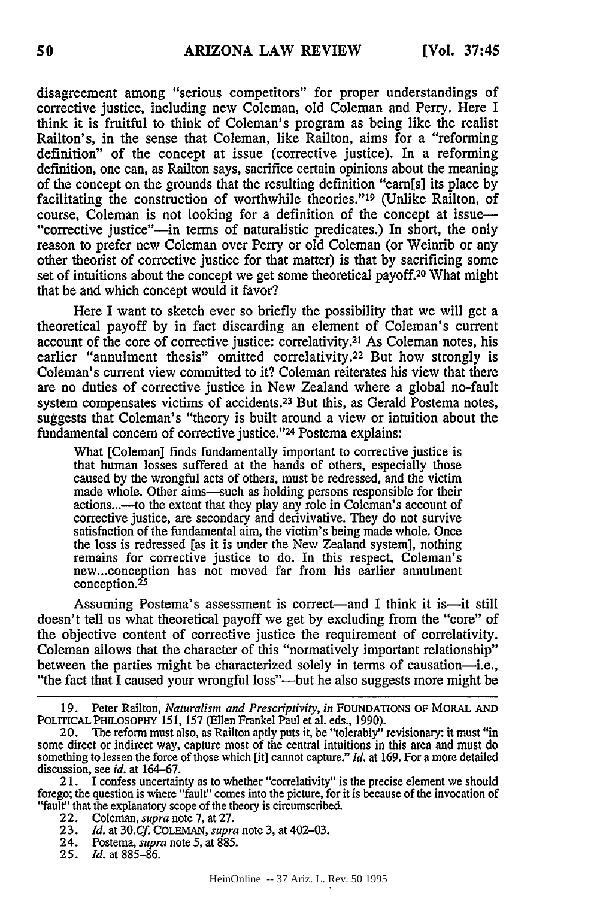disagreement among "serious competitors" for proper understandings of corrective justice, including new Coleman, old Coleman and Perry. Here I think it is fruitful to think of Coleman's program as being like the realist Railton's, in the sense that Coleman, like Railton, aims for a "reforming definition" of the concept at issue (corrective justice). In a reforming definition, one can, as Railton says, sacrifice certain opinions about the meaning of the concept on the grounds that the resulting definition "earn[s] its place by facilitating the construction of worthwhile theories."<sup>19</sup> (Unlike Railton, of course, Coleman is not looking for a definition of the concept at issue— "corrective justice"--in terms of naturalistic predicates.) In short, the only reason to prefer new Coleman over Perry or old Coleman (or Weinrib or any other theorist of corrective justice for that matter) is that by sacrificing some set of intuitions about the concept we get some theoretical payoff.20 What might that be and which concept would it favor?

Here I want to sketch ever so briefly the possibility that we will get a theoretical payoff by in fact discarding an element of Coleman's current account of the core of corrective justice: correlativity.<sup>21</sup> As Coleman notes, his earlier "annulment thesis" omitted correlativity.<sup>22</sup> But how strongly is Coleman's current view committed to it? Coleman reiterates his view that there are no duties of corrective justice in New Zealand where a global no-fault system compensates victims of accidents.<sup>23</sup> But this, as Gerald Postema notes, suggests that Coleman's "theory is built around a view or intuition about the fundamental concern of corrective justice."24 Postema explains:

What [Coleman] finds fundamentally important to corrective justice is that human losses suffered at the hands of others, especially those caused by the wrongful acts of others, must be redressed, and the victim made whole. Other aims—such as holding persons responsible for their actions...-to the extent that they play any role in Coleman's account of corrective justice, are secondary and derivivative. They do not survive satisfaction of the fundamental aim, the victim's being made whole. Once the loss is redressed [as it is under the New Zealand system], nothing remains for corrective justice to do. In this respect, Coleman's new...conception has not moved far from his earlier annulment conception. <sup>25</sup>

Assuming Postema's assessment is correct—and I think it is—it still doesn't tell us what theoretical payoff we get by excluding from the "core" of the objective content of corrective justice the requirement of correlativity. Coleman allows that the character of this "normatively important relationship" between the parties might be characterized solely in terms of causation-i.e., "the fact that I caused your wrongful loss"—but he also suggests more might be

2 1. I confess uncertainty as to whether "correlativity" is the precise element we should forego; the question is where "fault" comes into the picture, for it is because of the invocation **of** "fault" that the explanatory scope of the theory is circumscribed.

- 22. Coleman, *supra* note 7, at 27.
- **23.** *Id.* at *30.Cf.* COLEMAN, *supra* note 3, at 402-03.
- 24. Postema, *supra* note 5, at 885.
- **25.** *Id.* at 885-86.

**<sup>19.</sup>** Peter Railton, *Naturalism and Prescriptivity, in* FOUNDATIONS OF MORAL **AND** POLITICAL PHILOSOPHY 151, 157 (Ellen Frankel Paul et al. eds., 1990). 20. The reform must also, as Railton aptly puts it, be "tolerably" revisionary: it must "in

some direct or indirect way, capture most of the central intuitions in this area and must do something to lessen the force of those which [it] cannot capture." *Id.* at 169. For a more detailed discussion, see *id.* at 164-67.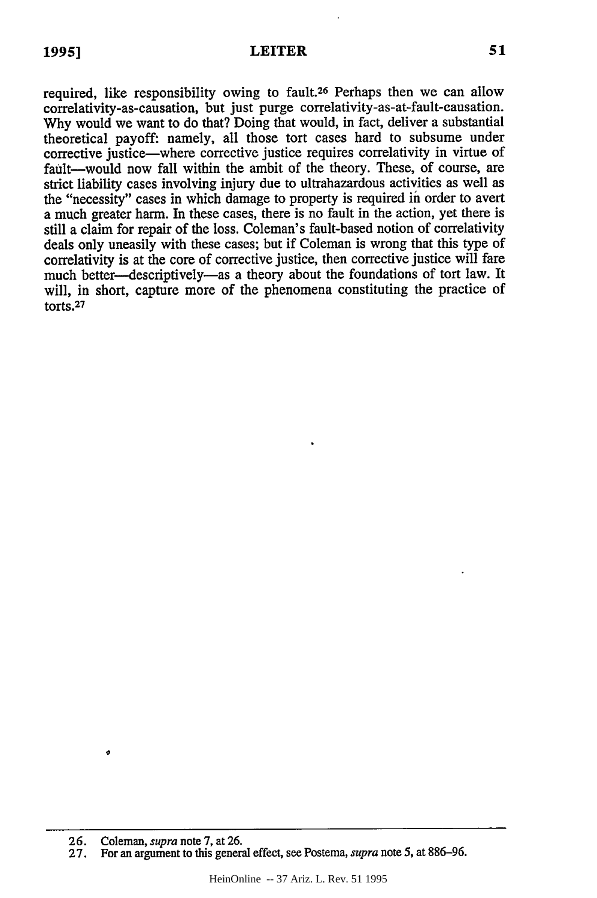#### **LEITER**

required, like responsibility owing to fault.<sup>26</sup> Perhaps then we can allow correlativity-as-causation, but just purge correlativity-as-at-fault-causation. Why would we want to do that? Doing that would, in fact, deliver a substantial theoretical payoff: namely, all those tort cases hard to subsume under corrective justice-where corrective justice requires correlativity in virtue of fault--would now fall within the ambit of the theory. These, of course, are strict liability cases involving injury due to ultrahazardous activities as well as the "necessity" cases in which damage to property is required in order to avert a much greater harm. In these cases, there is no fault in the action, yet there is still a claim for repair of the loss. Coleman's fault-based notion of correlativity deals only uneasily with these cases; but if Coleman is wrong that this type of correlativity is at the core of corrective justice, then corrective justice will fare much better-descriptively-as a theory about the foundations of tort law. It will, in short, capture more of the phenomena constituting the practice of torts.<sup>27</sup>

¢

<sup>26.</sup> Coleman, *supra* note 7, at 26.

<sup>27.</sup> For an argument to this general effect, see Postema, *supra* note **5,** at 886-96.